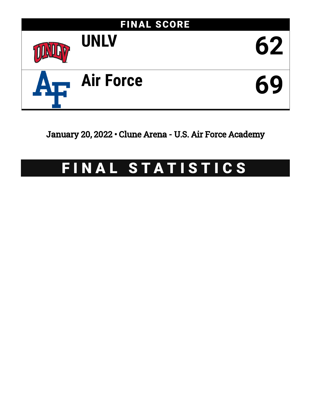

January 20, 2022 • Clune Arena - U.S. Air Force Academy

# FINAL STATISTICS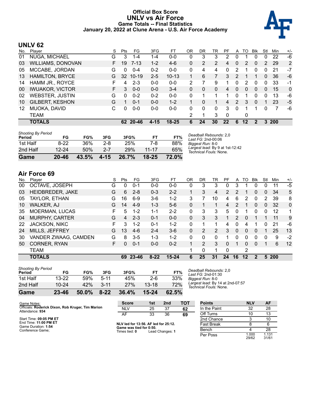## **Official Box Score UNLV vs Air Force Game Totals -- Final Statistics January 20, 2022 at Clune Arena - U.S. Air Force Academy**



# **UNLV 62**

| No. | Plaver                   | S  | <b>Pts</b>   | FG.      | 3FG      | FТ        | OR | DR | TR             | РF | A              | TO       | Blk      | Stl          | Min        | $+/-$    |
|-----|--------------------------|----|--------------|----------|----------|-----------|----|----|----------------|----|----------------|----------|----------|--------------|------------|----------|
| 01  | NUGA, MICHAEL            | G  | 3            | 1-4      | 1-4      | $0-0$     | 0  | 3  | 3              | 2  | 0              |          | $\Omega$ | 0            | 22         | -6       |
| 03  | <b>WILLIAMS, DONOVAN</b> | F. | 19           | $7 - 13$ | $1 - 2$  | 4-6       | 0  | 2  | $\overline{2}$ | 4  | $\overline{0}$ | 2        | $\Omega$ | 2            | 29         | 2        |
| 05  | MCCABE, JORDAN           | G  | 0            | $0 - 4$  | $0 - 2$  | $0 - 0$   | 0  | 4  | 4              | 0  | 2              |          | 0        | 0            | 21         | -7       |
| 13  | <b>HAMILTON, BRYCE</b>   | G  | 32           | $10-19$  | $2 - 5$  | $10 - 13$ |    | 6  |                | 3  | 2              |          |          | $\mathbf{0}$ | 36         | -6       |
| 14  | HAMM JR., ROYCE          | F  | 4            | $2 - 3$  | $0 - 0$  | $0 - 0$   | 2  |    | 9              | 1  | $\Omega$       | 2        | 0        | 0            | 33         | -1       |
| 00  | <b>IWUAKOR, VICTOR</b>   | F. | 3            | $0 - 0$  | $0 - 0$  | $3 - 4$   | 0  | 0  | 0              | 4  | 0              | $\Omega$ | $\Omega$ | 0            | 15         | $\Omega$ |
| 02  | <b>WEBSTER, JUSTIN</b>   | G  | <sup>0</sup> | $0 - 2$  | $0 - 2$  | $0 - 0$   | 0  |    |                |    | 0              |          |          | 0            | 13         | -6       |
| 10  | <b>GILBERT, KESHON</b>   | G  |              | $0 - 1$  | $0 - 0$  | $1 - 2$   |    | 0  |                | 4  | 2              | 3        | $\Omega$ |              | 23         | -5       |
| 12  | MUOKA, DAVID             | С  | 0            | $0 - 0$  | $0 - 0$  | $0 - 0$   | 0  | 0  | 0              | 3  | $\Omega$       |          |          | 0            |            | -6       |
|     | TEAM                     |    |              |          |          |           | 2  |    | 3              | 0  |                | 0        |          |              |            |          |
|     | <b>TOTALS</b>            |    |              | 62 20-46 | $4 - 15$ | $18 - 25$ | 6  | 24 | 30             | 22 | 6              | 12       | 2        | 3            | <b>200</b> |          |

| Game                                | $20 - 46$ | 43.5% | $4 - 15$ | 26.7% | $18 - 25$ | 72.0% |                                                           |
|-------------------------------------|-----------|-------|----------|-------|-----------|-------|-----------------------------------------------------------|
| 2nd Half                            | $12 - 24$ | 50%   | $2 - 7$  | 29%   | $11 - 17$ | 65%   | Largest lead: By 9 at 1st-12:42<br>Technical Fouls: None. |
| 1st Half                            | $8-22$    | 36%   | $2 - 8$  | 25%   | 7-8       | 88%   | Biggest Run: 8-0                                          |
| <b>Shooting By Period</b><br>Period | FG        | FG%   | 3FG      | 3FG%  | <b>FT</b> | FT%   | Deadball Rebounds: 2,0<br>Last $FG: 2nd-00:06$            |

**Air Force 69**

| No. | Plaver                | S  | Pts | FG.     | 3FG      | FТ        | 0R       | DR | TR       | PF       | A  | TO.      | <b>B</b> lk  | Stl          | Min        | $+/-$        |
|-----|-----------------------|----|-----|---------|----------|-----------|----------|----|----------|----------|----|----------|--------------|--------------|------------|--------------|
| 00  | OCTAVE, JOSEPH        | G  | 0   | $0 - 1$ | $0-0$    | $0-0$     | 0        | 3  | 3        | $\Omega$ | 3  |          | 0            | 0            | 11         | $-5$         |
| 03  | HEIDBREDER, JAKE      | G  | 6   | $2 - 8$ | $0 - 3$  | $2 - 2$   |          | 3  | 4        | 2        | 2  |          | $\Omega$     | 0            | 34         | 5            |
| 05  | TAYLOR, ETHAN         | G  | 16  | $6 - 9$ | $3-6$    | $1 - 2$   | 3        | 7  | 10       | 4        | 6  | 2        | $\mathbf{0}$ | 2            | 39         | 8            |
| 10  | <b>WALKER, AJ</b>     | G  | 14  | $4-9$   | $1 - 3$  | $5-6$     | 0        |    | 1        | 4        | 2  | 1        | $\mathbf{0}$ | $\mathbf{0}$ | 32         | $\mathbf{0}$ |
| 35  | MOERMAN, LUCAS        | F  | 5.  | $1 - 2$ | $1 - 1$  | $2 - 2$   | $\Omega$ | 3  | 3        | 5        | 0  |          | $\Omega$     | $\Omega$     | 12         |              |
| 04  | <b>MURPHY, CARTER</b> | G  | 4   | $2 - 3$ | $0 - 1$  | $0 - 0$   | $\Omega$ | 3  | 3        |          | 2  | $\Omega$ |              |              | 11         | 9            |
| 22  | <b>JACKSON, NIKC</b>  | F. | 3   | $1 - 2$ | $0 - 1$  | $1 - 2$   | 0        | 1  | 1        | 4        | 0  | 4        |              | 0            | 21         | -6           |
| 24  | MILLS, JEFFREY        | G  | 13  | $4-6$   | $2 - 4$  | $3-6$     | $\Omega$ | 2  | 2        | 3        | 0  | 0        | $\Omega$     |              | 25         | 13           |
| 30  | VANDER ZWAAG, CAMDEN  | G  | 8   | $3 - 5$ | $1 - 3$  | $1 - 2$   | $\Omega$ | 0  | $\Omega$ |          | 0  | 0        | $\Omega$     | $\Omega$     | 9          | $-2$         |
| 50  | CORNER, RYAN          | F. | 0   | $0 - 1$ | $0 - 0$  | $0 - 2$   |          | 2  | 3        | $\Omega$ |    | 0        | $\Omega$     | 1            | 6          | 12           |
|     | <b>TEAM</b>           |    |     |         |          |           |          | 0  | 1        | $\Omega$ |    | 2        |              |              |            |              |
|     | <b>TOTALS</b>         |    | 69  | 23-46   | $8 - 22$ | $15 - 24$ | 6        | 25 | 31       | 24       | 16 | $12 \,$  | $\mathbf{2}$ | 5            | <b>200</b> |              |

| Game                                | 23-46     | 50.0% | $8 - 22$ | 36.4% | $15 - 24$ | 62.5% |
|-------------------------------------|-----------|-------|----------|-------|-----------|-------|
| 2nd Half                            | $10 - 24$ | 42%   | $3 - 11$ | 27%   | $13 - 18$ | 72%   |
| 1st Half                            | $13 - 22$ | 59%   | $5 - 11$ | 45%   | 2-6       | 33%   |
| <b>Shooting By Period</b><br>Period | FG        | FG%   | 3FG      | 3FG%  | FТ        | FT%   |

*Deadball Rebounds:* 2,0 *Last FG:* 2nd-01:30 *Biggest Run:* 8-0 *Largest lead:* By 14 at 2nd-07:57 *Technical Fouls:* None.

| Game Notes:                                                          | <b>Score</b>                             | 1st | 2 <sub>nd</sub> | тот | <b>Points</b>     | <b>NLV</b>     | <b>AF</b>      |
|----------------------------------------------------------------------|------------------------------------------|-----|-----------------|-----|-------------------|----------------|----------------|
| Officials: Roderick Dixon, Rob Kruger, Tim Marion<br>Attendance: 934 | <b>NLV</b>                               | 25  | 37              | 62  | In the Paint      | 32             | 28             |
|                                                                      | AF                                       | 33  | 36              | 69  | Off Turns         |                | 13             |
| Start Time: 09:05 PM ET                                              |                                          |     |                 |     | 2nd Chance        |                | 10             |
| End Time: 11:00 PM ET<br>Game Duration: 1:54                         | NLV led for 13:56. AF led for 25:12.     |     |                 |     | <b>Fast Break</b> |                |                |
| Conference Game:                                                     | Game was tied for 0:50.<br>Times tied: 0 |     | Lead Changes: 1 |     | Bench             |                | 28             |
|                                                                      |                                          |     |                 |     | Per Poss          | 1.000<br>29/62 | 1.131<br>31/61 |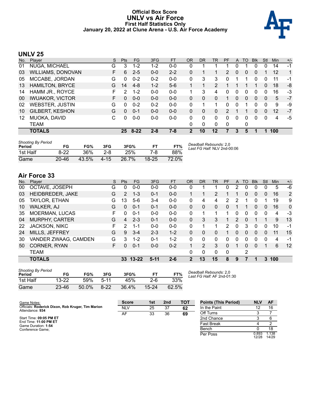#### **Official Box Score UNLV vs Air Force First Half Statistics Only January 20, 2022 at Clune Arena - U.S. Air Force Academy**



# **UNLV 25**

| No. | Plaver                   | S  | <b>Pts</b> | <b>FG</b> | 3FG     | <b>FT</b> | <b>OR</b> | <b>DR</b> | <b>TR</b> | PF            | A        | TO | <b>Blk</b>   | Stl      | Min | $+/-$        |
|-----|--------------------------|----|------------|-----------|---------|-----------|-----------|-----------|-----------|---------------|----------|----|--------------|----------|-----|--------------|
| 01  | NUGA, MICHAEL            | G  | 3          | $1 - 2$   | 1-2     | $0 - 0$   | 0         |           |           |               | 0        |    | 0            | 0        | 14  | $-1$         |
| 03  | <b>WILLIAMS, DONOVAN</b> | F. | 6          | $2 - 5$   | $0 - 0$ | $2 - 2$   | 0         |           |           | $\mathcal{P}$ | $\Omega$ | 0  | 0            |          | 12  | $\mathbf{1}$ |
| 05  | MCCABE, JORDAN           | G  | 0          | $0 - 2$   | $0 - 2$ | $0 - 0$   | 0         | 3         | 3         | 0             |          |    | 0            | 0        | 11  | $-1$         |
| 13  | <b>HAMILTON, BRYCE</b>   | G  | 14         | $4 - 8$   | $1 - 2$ | $5-6$     |           |           | 2         |               |          |    |              | 0        | 18  | -8           |
| 14  | HAMM JR., ROYCE          |    | 2          | $1 - 2$   | $0 - 0$ | $0 - 0$   |           | 3         | 4         | O             | 0        | 0  | 0            | 0        | 16  | -3           |
| 00  | <b>IWUAKOR, VICTOR</b>   | F. | $\Omega$   | $0 - 0$   | $0 - 0$ | $0 - 0$   | 0         | 0         | 0         |               | 0        | 0  | $\mathbf{0}$ | 0        | 5   | $-7$         |
| 02  | <b>WEBSTER, JUSTIN</b>   | G  | 0          | $0 - 2$   | $0 - 2$ | $0 - 0$   | 0         |           |           | 0             | 0        |    | 0            | 0        | 9   | -9           |
| 10  | <b>GILBERT, KESHON</b>   | G  | $\Omega$   | $0 - 1$   | $0 - 0$ | $0 - 0$   | 0         | 0         | $\Omega$  | 2             |          |    | 0            | 0        | 12  | $-7$         |
| 12  | MUOKA, DAVID             | C  | 0          | $0 - 0$   | $0 - 0$ | $0-0$     | 0         | 0         | $\Omega$  | 0             | 0        | 0  | 0            | $\Omega$ | 4   | -5           |
|     | TEAM                     |    |            |           |         |           | 0         | 0         | $\Omega$  | 0             |          | 0  |              |          |     |              |
|     | <b>TOTALS</b>            |    | 25         | $8 - 22$  | $2 - 8$ | 7-8       | 2         | 10        | 12        |               | 3        | 5  |              |          | 100 |              |

| <b>Shooting By Period</b><br>Period | FG        | FG%   | 3FG      | 3FG%  | FT.       | FT%   | Deadball Rebounds: 2,0<br>Last FG Half: NLV 2nd-00:06 |
|-------------------------------------|-----------|-------|----------|-------|-----------|-------|-------------------------------------------------------|
| 1st Half                            | 8-22      | 36%   | $2 - 8$  | 25%   | 7-8       | 88%   |                                                       |
| Game                                | $20 - 46$ | 43.5% | $4 - 15$ | 26.7% | $18 - 25$ | 72.0% |                                                       |

# **Air Force 33**

| No. | Plaver                | S | <b>Pts</b>    | <b>FG</b> | 3FG      | <b>FT</b> | <b>OR</b>      | <b>DR</b>      | TR       | PF           | A | TO | <b>Blk</b>     | Stl      | Min | $+/-$ |
|-----|-----------------------|---|---------------|-----------|----------|-----------|----------------|----------------|----------|--------------|---|----|----------------|----------|-----|-------|
| 00  | OCTAVE, JOSEPH        | G | 0             | $0 - 0$   | $0 - 0$  | $0-0$     | 0              |                |          | 0            | 2 | 0  | 0              | 0        | 5   | $-6$  |
| 03  | HEIDBREDER, JAKE      | G | $\mathcal{P}$ | $1 - 3$   | $0 - 1$  | $0 - 0$   |                |                | 2        |              |   | 0  | $\overline{0}$ | 0        | 16  | 2     |
| 05  | TAYLOR, ETHAN         | G | 13            | $5-6$     | $3 - 4$  | $0 - 0$   | 0              | 4              | 4        | 2            | 2 |    | 0              |          | 19  | 9     |
| 10  | <b>WALKER, AJ</b>     | G | 0             | $0 - 1$   | $0 - 1$  | $0 - 0$   | 0              | 0              | $\Omega$ | 0            | 1 |    | 0              | 0        | 16  | 0     |
| 35  | MOERMAN, LUCAS        | F | 0             | $0 - 1$   | $0 - 0$  | $0 - 0$   | $\Omega$       | 1              |          |              | 0 | 0  | 0              | $\Omega$ | 4   | -3    |
| 04  | <b>MURPHY, CARTER</b> | G | 4             | $2 - 3$   | $0 - 1$  | $0 - 0$   | $\Omega$       | 3              | 3        |              | 2 | 0  |                |          | 9   | 13    |
| 22  | <b>JACKSON, NIKC</b>  | F | 2             | $1 - 1$   | $0 - 0$  | $0 - 0$   | $\Omega$       |                |          | 2            | 0 | 3  | 0              | 0        | 10  | $-1$  |
| 24  | MILLS, JEFFREY        | G | 9             | $3 - 4$   | $2 - 3$  | $1 - 2$   | 0              | 0              | 0        |              | 0 | 0  | $\mathbf{0}$   | 0        | 11  | 15    |
| 30  | VANDER ZWAAG, CAMDEN  | G | 3             | $1 - 2$   | $0 - 1$  | $1-2$     | $\Omega$       | 0              | 0        | o            | 0 | 0  | 0              | 0        | 4   | -1    |
| 50  | CORNER, RYAN          | F | 0             | $0 - 1$   | $0 - 0$  | $0 - 2$   | 1              | $\overline{2}$ | 3        | 0            | 1 | 0  | $\Omega$       |          | 6   | 12    |
|     | <b>TEAM</b>           |   |               |           |          |           | $\Omega$       | 0              | 0        | $\mathbf{0}$ |   | 2  |                |          |     |       |
|     | <b>TOTALS</b>         |   | 33            | $13 - 22$ | $5 - 11$ | $2 - 6$   | $\overline{2}$ | 13             | 15       | 8            | 9 | 7  | 1              | 3        | 100 |       |

| <b>Shooting By Period</b><br>Period | FG        | FG%   | 3FG      | 3FG%  | FT      | FT%   |
|-------------------------------------|-----------|-------|----------|-------|---------|-------|
| 1st Half                            | 13-22     | 59%   | $5-11$   | 45%   | $2 - 6$ | 33%   |
| Game                                | $23 - 46$ | 50.0% | $8 - 22$ | 36.4% | 15-24   | 62.5% |

*Deadball Rebounds:* 2,0 *Last FG Half:* AF 2nd-01:30

| Game Notes:                                                          | <b>Score</b> | 1st | 2 <sub>nd</sub> | <b>TOT</b> | <b>Points (This Period)</b> | <b>NLV</b>     | AF             |
|----------------------------------------------------------------------|--------------|-----|-----------------|------------|-----------------------------|----------------|----------------|
| Officials: Roderick Dixon, Rob Kruger, Tim Marion<br>Attendance: 934 | <b>NLV</b>   | 25  | 37              | 62         | In the Paint                |                | 16             |
|                                                                      | AF           | 33  | 36              | 69         | Off Turns                   |                |                |
| Start Time: 09:05 PM ET                                              |              |     |                 |            | 2nd Chance                  |                |                |
| End Time: 11:00 PM ET<br>Game Duration: 1:54                         |              |     |                 |            | <b>Fast Break</b>           |                |                |
| Conference Game:                                                     |              |     |                 |            | Bench                       |                | 18             |
|                                                                      |              |     |                 |            | Per Poss                    | 0.893<br>12/28 | 1.138<br>14/29 |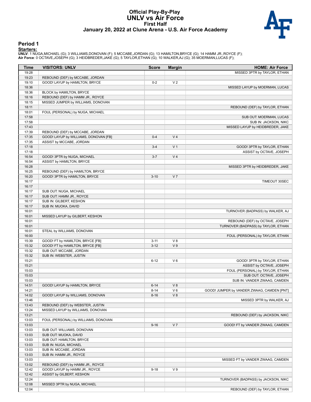#### **Official Play-By-Play UNLV vs Air Force First Half January 20, 2022 at Clune Arena - U.S. Air Force Academy**



#### **Period 1**

<mark>Startersː</mark><br>UNLV: 1 NUGA,MICHAEL (G); 3 WILLIAMS,DONOVAN (F); 5 MCCABE,JORDAN (G); 13 HAMILTON,BRYCE (G); 14 HAMM JR.,ROYCE (F);<br>**Air Force**: 0 OCTAVE,JOSEPH (G); 3 HEIDBREDER,JAKE (G); 5 TAYLOR,ETHAN (G); 10 WALKER,AJ (G)

| Time           | <b>VISITORS: UNLV</b>                 | <b>Score</b> | <b>Margin</b>  | <b>HOME: Air Force</b>                     |
|----------------|---------------------------------------|--------------|----------------|--------------------------------------------|
| 19:28<br>19:23 | REBOUND (DEF) by MCCABE, JORDAN       |              |                | MISSED 3PTR by TAYLOR, ETHAN               |
| 19:10          | GOOD! LAYUP by HAMILTON, BRYCE        | $0 - 2$      | V <sub>2</sub> |                                            |
| 18:36          |                                       |              |                | MISSED LAYUP by MOERMAN, LUCAS             |
| 18:36          | BLOCK by HAMILTON, BRYCE              |              |                |                                            |
| 18:16          | REBOUND (DEF) by HAMM JR., ROYCE      |              |                |                                            |
| 18:15          | MISSED JUMPER by WILLIAMS, DONOVAN    |              |                |                                            |
| 18:11          |                                       |              |                |                                            |
|                |                                       |              |                | REBOUND (DEF) by TAYLOR, ETHAN             |
| 18:01          | FOUL (PERSONAL) by NUGA, MICHAEL      |              |                |                                            |
| 17:58          |                                       |              |                | SUB OUT: MOERMAN, LUCAS                    |
| 17:58          |                                       |              |                | SUB IN: JACKSON, NIKC                      |
| 17:43          |                                       |              |                | MISSED LAYUP by HEIDBREDER, JAKE           |
| 17:39          | REBOUND (DEF) by MCCABE, JORDAN       |              |                |                                            |
| 17:35          | GOOD! LAYUP by WILLIAMS, DONOVAN [FB] | $0 - 4$      | V <sub>4</sub> |                                            |
| 17:35          | ASSIST by MCCABE, JORDAN              |              |                |                                            |
| 17:18          |                                       | $3 - 4$      | V <sub>1</sub> | GOOD! 3PTR by TAYLOR, ETHAN                |
| 17:18          |                                       |              |                | ASSIST by OCTAVE, JOSEPH                   |
| 16:54          | GOOD! 3PTR by NUGA, MICHAEL           | $3 - 7$      | V <sub>4</sub> |                                            |
| 16:54          | ASSIST by HAMILTON, BRYCE             |              |                |                                            |
| 16:28          |                                       |              |                | MISSED 3PTR by HEIDBREDER, JAKE            |
| 16:25          | REBOUND (DEF) by HAMILTON, BRYCE      |              |                |                                            |
| 16:20          | GOOD! 3PTR by HAMILTON, BRYCE         | $3 - 10$     | V <sub>7</sub> |                                            |
| 16:17          |                                       |              |                | TIMEOUT 30SEC                              |
| 16:17          |                                       |              |                |                                            |
| 16:17          | SUB OUT: NUGA, MICHAEL                |              |                |                                            |
| 16:17          | SUB OUT: HAMM JR., ROYCE              |              |                |                                            |
| 16:17          | SUB IN: GILBERT, KESHON               |              |                |                                            |
| 16:17          | SUB IN: MUOKA, DAVID                  |              |                |                                            |
| 16:01          |                                       |              |                | TURNOVER (BADPASS) by WALKER, AJ           |
| 16:01          | MISSED LAYUP by GILBERT, KESHON       |              |                |                                            |
| 16:01          |                                       |              |                | REBOUND (DEF) by OCTAVE, JOSEPH            |
| 16:01          |                                       |              |                | TURNOVER (BADPASS) by TAYLOR, ETHAN        |
| 16:01          | STEAL by WILLIAMS, DONOVAN            |              |                |                                            |
| 16:00          |                                       |              |                | FOUL (PERSONAL) by TAYLOR, ETHAN           |
| 15:39          | GOOD! FT by HAMILTON, BRYCE [FB]      | $3 - 11$     | V8             |                                            |
| 15:32          | GOOD! FT by HAMILTON, BRYCE [FB]      | $3 - 12$     | V <sub>9</sub> |                                            |
| 15:32          | SUB OUT: MCCABE, JORDAN               |              |                |                                            |
| 15:32          | SUB IN: WEBSTER, JUSTIN               |              |                |                                            |
| 15:21          |                                       | $6 - 12$     | V6             | GOOD! 3PTR by TAYLOR, ETHAN                |
| 15:21          |                                       |              |                | ASSIST by OCTAVE, JOSEPH                   |
| 15:03          |                                       |              |                | FOUL (PERSONAL) by TAYLOR, ETHAN           |
| 15:03          |                                       |              |                | SUB OUT: OCTAVE, JOSEPH                    |
| 15:03          |                                       |              |                | SUB IN: VANDER ZWAAG, CAMDEN               |
| 14:51          | GOOD! LAYUP by HAMILTON, BRYCE        | $6 - 14$     | V8             |                                            |
| 14:21          |                                       | 8-14         | V 6            | GOOD! JUMPER by VANDER ZWAAG, CAMDEN [PNT] |
| 14:02          | GOOD! LAYUP by WILLIAMS, DONOVAN      | $8 - 16$     | V8             |                                            |
| 13:46          |                                       |              |                | MISSED 3PTR by WALKER, AJ                  |
| 13:43          | REBOUND (DEF) by WEBSTER, JUSTIN      |              |                |                                            |
| 13:24          | MISSED LAYUP by WILLIAMS, DONOVAN     |              |                |                                            |
| 13:21          |                                       |              |                | REBOUND (DEF) by JACKSON, NIKC             |
| 13:03          | FOUL (PERSONAL) by WILLIAMS, DONOVAN  |              |                |                                            |
| 13:03          |                                       | $9 - 16$     | V <sub>7</sub> | GOOD! FT by VANDER ZWAAG, CAMDEN           |
| 13:03          | SUB OUT: WILLIAMS, DONOVAN            |              |                |                                            |
| 13:03          | SUB OUT: MUOKA, DAVID                 |              |                |                                            |
| 13:03          | SUB OUT: HAMILTON, BRYCE              |              |                |                                            |
| 13:03          | SUB IN: NUGA, MICHAEL                 |              |                |                                            |
| 13:03          | SUB IN: MCCABE, JORDAN                |              |                |                                            |
| 13:03          | SUB IN: HAMM JR., ROYCE               |              |                |                                            |
| 13:03          |                                       |              |                | MISSED FT by VANDER ZWAAG, CAMDEN          |
| 13:02          | REBOUND (DEF) by HAMM JR., ROYCE      |              |                |                                            |
| 12:42          | GOOD! LAYUP by HAMM JR., ROYCE        | $9 - 18$     | V <sub>9</sub> |                                            |
| 12:42          | ASSIST by GILBERT, KESHON             |              |                |                                            |
| 12:24          |                                       |              |                | TURNOVER (BADPASS) by JACKSON, NIKC        |
| 12:08          | MISSED 3PTR by NUGA, MICHAEL          |              |                |                                            |
| 12:04          |                                       |              |                | REBOUND (DEF) by TAYLOR, ETHAN             |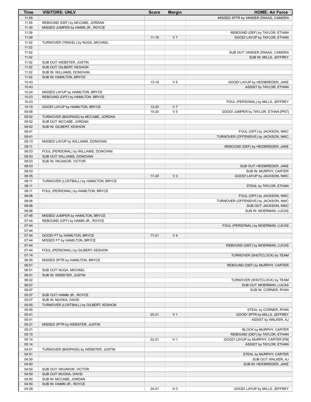| <b>Time</b>    | <b>VISITORS: UNLV</b>                                              | <b>Score</b> | <b>Margin</b>                    | <b>HOME: Air Force</b>                                               |
|----------------|--------------------------------------------------------------------|--------------|----------------------------------|----------------------------------------------------------------------|
| 11:59          |                                                                    |              |                                  | MISSED 3PTR by VANDER ZWAAG, CAMDEN                                  |
| 11:55          | REBOUND (DEF) by MCCABE, JORDAN                                    |              |                                  |                                                                      |
| 11:30<br>11:26 | MISSED JUMPER by HAMM JR., ROYCE                                   |              |                                  |                                                                      |
| 11:09          |                                                                    | $11 - 18$    | V <sub>7</sub>                   | REBOUND (DEF) by TAYLOR, ETHAN<br>GOOD! LAYUP by TAYLOR, ETHAN       |
| 11:02          | TURNOVER (TRAVEL) by NUGA, MICHAEL                                 |              |                                  |                                                                      |
| 11:02          |                                                                    |              |                                  |                                                                      |
| 11:02          |                                                                    |              |                                  | SUB OUT: VANDER ZWAAG, CAMDEN                                        |
| 11:02          |                                                                    |              |                                  | SUB IN: MILLS, JEFFREY                                               |
| 11:02          | SUB OUT: WEBSTER, JUSTIN                                           |              |                                  |                                                                      |
| 11:02          | SUB OUT: GILBERT, KESHON                                           |              |                                  |                                                                      |
| 11:02<br>11:02 | SUB IN: WILLIAMS, DONOVAN<br>SUB IN: HAMILTON, BRYCE               |              |                                  |                                                                      |
| 10:43          |                                                                    | $13 - 18$    | V <sub>5</sub>                   | GOOD! LAYUP by HEIDBREDER, JAKE                                      |
| 10:43          |                                                                    |              |                                  | ASSIST by TAYLOR, ETHAN                                              |
| 10:24          | MISSED LAYUP by HAMILTON, BRYCE                                    |              |                                  |                                                                      |
| 10:23          | REBOUND (OFF) by HAMILTON, BRYCE                                   |              |                                  |                                                                      |
| 10:23          |                                                                    |              |                                  | FOUL (PERSONAL) by MILLS, JEFFREY                                    |
| 10:15<br>09:58 | GOOD! LAYUP by HAMILTON, BRYCE                                     | 13-20        | V <sub>7</sub><br>V <sub>5</sub> |                                                                      |
| 09:52          | TURNOVER (BADPASS) by MCCABE, JORDAN                               | 15-20        |                                  | GOOD! JUMPER by TAYLOR, ETHAN [PNT]                                  |
| 09:52          | SUB OUT: MCCABE, JORDAN                                            |              |                                  |                                                                      |
| 09:52          | SUB IN: GILBERT, KESHON                                            |              |                                  |                                                                      |
| 09:41          |                                                                    |              |                                  | FOUL (OFF) by JACKSON, NIKC                                          |
| 09:41          |                                                                    |              |                                  | TURNOVER (OFFENSIVE) by JACKSON, NIKC                                |
| 09:13          | MISSED LAYUP by WILLIAMS, DONOVAN                                  |              |                                  |                                                                      |
| 09:11          |                                                                    |              |                                  | REBOUND (DEF) by HEIDBREDER, JAKE                                    |
| 08:53<br>08:53 | FOUL (PERSONAL) by WILLIAMS, DONOVAN<br>SUB OUT: WILLIAMS, DONOVAN |              |                                  |                                                                      |
| 08:53          | SUB IN: IWUAKOR, VICTOR                                            |              |                                  |                                                                      |
| 08:53          |                                                                    |              |                                  | SUB OUT: HEIDBREDER, JAKE                                            |
| 08:53          |                                                                    |              |                                  | SUB IN: MURPHY, CARTER                                               |
| 08:35          |                                                                    | $17 - 20$    | V <sub>3</sub>                   | GOOD! LAYUP by JACKSON, NIKC                                         |
| 08:11          | TURNOVER (LOSTBALL) by HAMILTON, BRYCE                             |              |                                  |                                                                      |
| 08:11          |                                                                    |              |                                  | STEAL by TAYLOR, ETHAN                                               |
| 08:11<br>08:06 | FOUL (PERSONAL) by HAMILTON, BRYCE                                 |              |                                  |                                                                      |
| 08:06          |                                                                    |              |                                  | FOUL (OFF) by JACKSON, NIKC<br>TURNOVER (OFFENSIVE) by JACKSON, NIKC |
| 08:06          |                                                                    |              |                                  | SUB OUT: JACKSON, NIKC                                               |
| 08:06          |                                                                    |              |                                  | SUB IN: MOERMAN, LUCAS                                               |
| 07:46          | MISSED JUMPER by HAMILTON, BRYCE                                   |              |                                  |                                                                      |
| 07:44          | REBOUND (OFF) by HAMM JR., ROYCE                                   |              |                                  |                                                                      |
| 07:44          |                                                                    |              |                                  | FOUL (PERSONAL) by MOERMAN, LUCAS                                    |
| 07:44<br>07:44 | GOOD! FT by HAMILTON, BRYCE                                        | $17 - 21$    | V <sub>4</sub>                   |                                                                      |
| 07:44          | MISSED FT by HAMILTON, BRYCE                                       |              |                                  |                                                                      |
| 07:44          |                                                                    |              |                                  | REBOUND (DEF) by MOERMAN, LUCAS                                      |
| 07:44          | FOUL (PERSONAL) by GILBERT, KESHON                                 |              |                                  |                                                                      |
| 07:14          |                                                                    |              |                                  | TURNOVER (SHOTCLOCK) by TEAM                                         |
| 06:55          | MISSED 3PTR by HAMILTON, BRYCE                                     |              |                                  |                                                                      |
| 06:51          |                                                                    |              |                                  | REBOUND (DEF) by MURPHY, CARTER                                      |
| 06:51<br>06:51 | SUB OUT: NUGA, MICHAEL<br>SUB IN: WEBSTER, JUSTIN                  |              |                                  |                                                                      |
| 06:22          |                                                                    |              |                                  | TURNOVER (SHOTCLOCK) by TEAM                                         |
| 06:07          |                                                                    |              |                                  | SUB OUT: MOERMAN, LUCAS                                              |
| 06:07          |                                                                    |              |                                  | SUB IN: CORNER, RYAN                                                 |
| 05:57          | SUB OUT: HAMM JR., ROYCE                                           |              |                                  |                                                                      |
| 05:57          | SUB IN: MUOKA, DAVID                                               |              |                                  |                                                                      |
| 05:55          | TURNOVER (LOSTBALL) by GILBERT, KESHON                             |              |                                  |                                                                      |
| 05:55<br>05:41 |                                                                    | $20 - 21$    | V <sub>1</sub>                   | STEAL by CORNER, RYAN<br>GOOD! 3PTR by MILLS, JEFFREY                |
| 05:41          |                                                                    |              |                                  | ASSIST by WALKER, AJ                                                 |
| 05:21          | MISSED 3PTR by WEBSTER, JUSTIN                                     |              |                                  |                                                                      |
| 05:21          |                                                                    |              |                                  | BLOCK by MURPHY, CARTER                                              |
| 05:15          |                                                                    |              |                                  | REBOUND (DEF) by TAYLOR, ETHAN                                       |
| 05:14          |                                                                    | $22 - 21$    | H <sub>1</sub>                   | GOOD! LAYUP by MURPHY, CARTER [FB]                                   |
| 05:14          |                                                                    |              |                                  | ASSIST by TAYLOR, ETHAN                                              |
| 04:51          | TURNOVER (BADPASS) by WEBSTER, JUSTIN                              |              |                                  |                                                                      |
| 04:51          |                                                                    |              |                                  | STEAL by MURPHY, CARTER                                              |
| 04:50<br>04:50 |                                                                    |              |                                  | SUB OUT: WALKER, AJ<br>SUB IN: HEIDBREDER, JAKE                      |
| 04:50          | SUB OUT: IWUAKOR, VICTOR                                           |              |                                  |                                                                      |
| 04:50          | SUB OUT: MUOKA, DAVID                                              |              |                                  |                                                                      |
| 04:50          | SUB IN: MCCABE, JORDAN                                             |              |                                  |                                                                      |
| 04:50          | SUB IN: HAMM JR., ROYCE                                            |              |                                  |                                                                      |
| 04:28          |                                                                    | 24-21        | H <sub>3</sub>                   | GOOD! LAYUP by MILLS, JEFFREY                                        |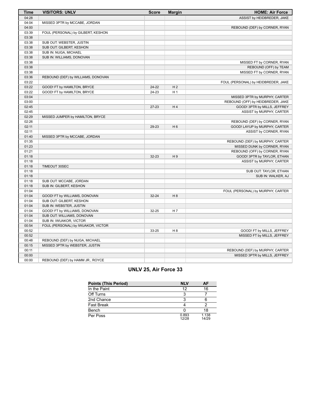| <b>Time</b> | <b>VISITORS: UNLV</b>              | <b>Score</b> | <b>Margin</b>  | <b>HOME: Air Force</b>              |
|-------------|------------------------------------|--------------|----------------|-------------------------------------|
| 04:28       |                                    |              |                | ASSIST by HEIDBREDER, JAKE          |
| 04:04       | MISSED 3PTR by MCCABE, JORDAN      |              |                |                                     |
| 04:00       |                                    |              |                | REBOUND (DEF) by CORNER, RYAN       |
| 03:39       | FOUL (PERSONAL) by GILBERT, KESHON |              |                |                                     |
| 03:38       |                                    |              |                |                                     |
| 03:38       | SUB OUT: WEBSTER, JUSTIN           |              |                |                                     |
| 03:38       | SUB OUT: GILBERT, KESHON           |              |                |                                     |
| 03:38       | SUB IN: NUGA, MICHAEL              |              |                |                                     |
| 03:38       | SUB IN: WILLIAMS, DONOVAN          |              |                |                                     |
| 03:38       |                                    |              |                | MISSED FT by CORNER, RYAN           |
| 03:38       |                                    |              |                | REBOUND (OFF) by TEAM               |
| 03:38       |                                    |              |                | MISSED FT by CORNER, RYAN           |
| 03:36       | REBOUND (DEF) by WILLIAMS, DONOVAN |              |                |                                     |
| 03:22       |                                    |              |                | FOUL (PERSONAL) by HEIDBREDER, JAKE |
| 03:22       | GOOD! FT by HAMILTON, BRYCE        | $24-22$      | H <sub>2</sub> |                                     |
| 03:22       | GOOD! FT by HAMILTON, BRYCE        | 24-23        | H <sub>1</sub> |                                     |
| 03:04       |                                    |              |                | MISSED 3PTR by MURPHY, CARTER       |
| 03:00       |                                    |              |                | REBOUND (OFF) by HEIDBREDER, JAKE   |
| 02:45       |                                    | $27 - 23$    | H4             | GOOD! 3PTR by MILLS, JEFFREY        |
| 02:45       |                                    |              |                | ASSIST by MURPHY, CARTER            |
| 02:29       | MISSED JUMPER by HAMILTON, BRYCE   |              |                |                                     |
| 02:26       |                                    |              |                | REBOUND (DEF) by CORNER, RYAN       |
| 02:11       |                                    | 29-23        | H <sub>6</sub> | GOOD! LAYUP by MURPHY, CARTER       |
| 02:11       |                                    |              |                | ASSIST by CORNER, RYAN              |
| 01:40       | MISSED 3PTR by MCCABE, JORDAN      |              |                |                                     |
| 01:35       |                                    |              |                | REBOUND (DEF) by MURPHY, CARTER     |
| 01:23       |                                    |              |                | MISSED DUNK by CORNER, RYAN         |
| 01:21       |                                    |              |                | REBOUND (OFF) by CORNER, RYAN       |
| 01:18       |                                    | 32-23        | H <sub>9</sub> | GOOD! 3PTR by TAYLOR, ETHAN         |
| 01:18       |                                    |              |                | ASSIST by MURPHY, CARTER            |
| 01:18       | TIMEOUT 30SEC                      |              |                |                                     |
| 01:18       |                                    |              |                | SUB OUT: TAYLOR, ETHAN              |
| 01:18       |                                    |              |                | SUB IN: WALKER, AJ                  |
| 01:18       | SUB OUT: MCCABE, JORDAN            |              |                |                                     |
| 01:18       | SUB IN: GILBERT, KESHON            |              |                |                                     |
| 01:04       |                                    |              |                | FOUL (PERSONAL) by MURPHY, CARTER   |
| 01:04       | GOOD! FT by WILLIAMS, DONOVAN      | $32 - 24$    | H 8            |                                     |
| 01:04       | SUB OUT: GILBERT, KESHON           |              |                |                                     |
| 01:04       | SUB IN: WEBSTER, JUSTIN            |              |                |                                     |
| 01:04       | GOOD! FT by WILLIAMS, DONOVAN      | 32-25        | H <sub>7</sub> |                                     |
| 01:04       | SUB OUT: WILLIAMS, DONOVAN         |              |                |                                     |
| 01:04       | SUB IN: IWUAKOR, VICTOR            |              |                |                                     |
| 00:54       | FOUL (PERSONAL) by IWUAKOR, VICTOR |              |                |                                     |
| 00:52       |                                    | 33-25        | H <sub>8</sub> | GOOD! FT by MILLS, JEFFREY          |
| 00:52       |                                    |              |                | MISSED FT by MILLS, JEFFREY         |
| 00:48       | REBOUND (DEF) by NUGA, MICHAEL     |              |                |                                     |
| 00:15       | MISSED 3PTR by WEBSTER, JUSTIN     |              |                |                                     |
| 00:11       |                                    |              |                | REBOUND (DEF) by MURPHY, CARTER     |
| 00:00       |                                    |              |                | MISSED 3PTR by MILLS, JEFFREY       |
| 00:00       | REBOUND (DEF) by HAMM JR., ROYCE   |              |                |                                     |

# **UNLV 25, Air Force 33**

|                | AF             |
|----------------|----------------|
| 12             | 16             |
|                |                |
|                |                |
|                |                |
|                | 18             |
| 0.893<br>12/28 | 1.138<br>14/29 |
|                | <b>NLV</b>     |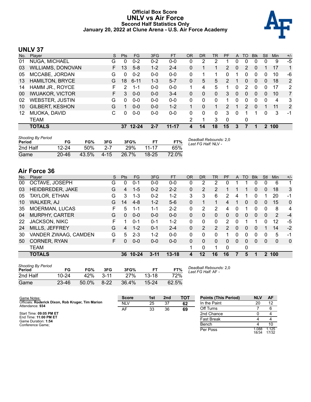#### **Official Box Score UNLV vs Air Force Second Half Statistics Only January 20, 2022 at Clune Arena - U.S. Air Force Academy**



# **UNLV 37**

| No. | Plaver                 | <sub>S</sub> | <b>Pts</b> | <b>FG</b> | 3FG     | <b>FT</b> | <b>OR</b> | <b>DR</b> | TR | PF             | A            | TO            | <b>Blk</b> | Stl      | Min | $+/-$          |
|-----|------------------------|--------------|------------|-----------|---------|-----------|-----------|-----------|----|----------------|--------------|---------------|------------|----------|-----|----------------|
| 01  | NUGA, MICHAEL          | G            | 0          | $0 - 2$   | $0 - 2$ | $0-0$     | 0         | 2         | 2  |                | 0            | 0             | 0          | 0        | 9   | $-5$           |
| 03  | WILLIAMS, DONOVAN      | F.           | 13         | $5 - 8$   | $1 - 2$ | $2 - 4$   | 0         |           |    | $\overline{2}$ | $\mathbf{0}$ | 2             | $\Omega$   |          | 17  | 1              |
| 05  | MCCABE, JORDAN         | G            | 0          | $0 - 2$   | $0 - 0$ | $0 - 0$   | 0         | 1         |    | 0              |              | 0             | 0          | 0        | 10  | -6             |
| 13  | <b>HAMILTON, BRYCE</b> | G            | 18         | $6 - 11$  | $1 - 3$ | $5 - 7$   | 0         | 5         | 5  | 2              |              | 0             | $\Omega$   | $\Omega$ | 18  | 2              |
| 14  | HAMM JR., ROYCE        | F.           | 2          | $1 - 1$   | $0 - 0$ | $0 - 0$   |           | 4         | 5  | 1              | 0            | 2             | $\Omega$   | $\Omega$ | 17  | 2              |
| 00  | <b>IWUAKOR, VICTOR</b> | F.           | 3          | $0 - 0$   | $0 - 0$ | $3 - 4$   | 0         | 0         | 0  | 3              | 0            | $\Omega$      | $\Omega$   | 0        | 10  | $\overline{7}$ |
| 02  | <b>WEBSTER, JUSTIN</b> | G            | 0          | $0 - 0$   | $0 - 0$ | $0 - 0$   | 0         | 0         | 0  |                | 0            | 0             | 0          | 0        | 4   | 3              |
| 10  | <b>GILBERT, KESHON</b> | G            |            | $0 - 0$   | $0 - 0$ | $1 - 2$   |           | $\Omega$  |    | $\overline{2}$ |              | $\mathcal{P}$ | $\Omega$   |          | 11  | 2              |
| 12  | MUOKA, DAVID           | С            | 0          | $0-0$     | $0 - 0$ | $0 - 0$   | 0         | 0         | 0  | 3              | 0            |               |            | 0        | 3   | -1             |
|     | TEAM                   |              |            |           |         |           | 2         | 1         | 3  | $\mathbf 0$    |              | 0             |            |          |     |                |
|     | <b>TOTALS</b>          |              | 37         | $12 - 24$ | 2-7     | $11 - 17$ | 4         | 14        | 18 | 15             | 3            |               |            | 2        | 100 |                |

| <b>Shooting By Period</b><br>Period | FG        | FG%   | 3FG     | 3FG%  |           | FT%   | Deadball Rebounds: 2,0<br>Last FG Half: NLV - |
|-------------------------------------|-----------|-------|---------|-------|-----------|-------|-----------------------------------------------|
| 2nd Half                            | $12 - 24$ | 50%   | $2 - 7$ | 29%   | $11 - 17$ | 65%   |                                               |
| Game                                | $20 - 46$ | 43.5% | 4-15    | 26.7% | $18 - 25$ | 72.0% |                                               |

# **Air Force 36**

| No. | Plaver                | S  | <b>Pts</b> | <b>FG</b> | 3FG      | <b>FT</b> | <b>OR</b> | DR       | TR             | PF             | A        | TO       | <b>Blk</b> | Stl      | Min          | $+/-$        |
|-----|-----------------------|----|------------|-----------|----------|-----------|-----------|----------|----------------|----------------|----------|----------|------------|----------|--------------|--------------|
| 00  | OCTAVE, JOSEPH        | G  | 0          | $0 - 1$   | $0 - 0$  | $0 - 0$   | 0         | 2        | 2              | 0              |          |          | 0          | 0        | 6            | -1           |
| 03  | HEIDBREDER, JAKE      | G  | 4          | $1 - 5$   | $0 - 2$  | $2 - 2$   | 0         | 2        | 2              |                |          | 1        | 0          | $\Omega$ | 18           | 3            |
| 05  | TAYLOR, ETHAN         | G  | 3          | $1 - 3$   | $0 - 2$  | $1 - 2$   | 3         | 3        | 6              | 2              | 4        | 1        | 0          |          | 20           | -1           |
| 10  | WALKER, AJ            | G  | 14         | $4 - 8$   | $1 - 2$  | $5-6$     | 0         |          |                | 4              | 1        | $\Omega$ | $\Omega$   | 0        | 15           | $\mathbf{0}$ |
| 35  | MOERMAN, LUCAS        | F  | 5          | $1 - 1$   | $1 - 1$  | $2 - 2$   | 0         | 2        | 2              | 4              | 0        |          | 0          | $\Omega$ | 8            | 4            |
| 04  | <b>MURPHY, CARTER</b> | G  | $\Omega$   | $0 - 0$   | $0 - 0$  | $0 - 0$   | 0         | $\Omega$ | $\Omega$       | 0              | 0        | 0        | 0          | $\Omega$ | 2            | $-4$         |
| 22  | <b>JACKSON, NIKC</b>  | F  |            | $0 - 1$   | $0 - 1$  | $1 - 2$   | 0         | 0        | $\mathbf{0}$   | $\overline{2}$ | 0        |          |            | 0        | 12           | -5           |
| 24  | MILLS, JEFFREY        | G  | 4          | $1 - 2$   | $0 - 1$  | $2 - 4$   | 0         | 2        | $\overline{2}$ | $\mathcal{P}$  | $\Omega$ | $\Omega$ | 0          |          | 14           | $-2$         |
| 30  | VANDER ZWAAG, CAMDEN  | G  | 5          | $2 - 3$   | $1 - 2$  | $0 - 0$   | 0         | 0        | 0              |                | 0        | 0        | 0          | 0        | 5            | -1           |
| 50  | CORNER, RYAN          | F. | 0          | $0 - 0$   | $0 - 0$  | $0 - 0$   | 0         | $\Omega$ | $\Omega$       | 0              | $\Omega$ | $\Omega$ | 0          | $\Omega$ | $\mathbf{0}$ | $\mathbf 0$  |
|     | <b>TEAM</b>           |    |            |           |          |           | 1         | 0        | 1              | $\Omega$       |          | 0        |            |          |              |              |
|     | <b>TOTALS</b>         |    | 36         | $10 - 24$ | $3 - 11$ | $13 - 18$ | 4         | 12       | 16             | 16             | 7        | 5        | 1          | 2        | 100          |              |

| <b>Shooting By Period</b><br>Period | FG        | FG%   | 3FG      | 3FG%  | FТ        | FT%   |
|-------------------------------------|-----------|-------|----------|-------|-----------|-------|
| 2nd Half                            | $10 - 24$ | 42%   | $3 - 11$ | 27%   | $13-18$   | 72%   |
| Game                                | $23 - 46$ | 50.0% | $8 - 22$ | 36.4% | $15 - 24$ | 62.5% |

*Deadball Rebounds:* 2,0 *Last FG Half:* AF -

| Game Notes:                                                          | <b>Score</b> | 1st | 2 <sub>nd</sub> | ТОТ | <b>Points (This Period)</b> | <b>NLV</b>     | AF             |
|----------------------------------------------------------------------|--------------|-----|-----------------|-----|-----------------------------|----------------|----------------|
| Officials: Roderick Dixon, Rob Kruger, Tim Marion<br>Attendance: 934 | <b>NLV</b>   | 25  | 37              | 62  | In the Paint                | 20             | 12             |
|                                                                      | AF           | 33  | 36              | 69  | Off Turns                   |                | 6              |
| Start Time: 09:05 PM ET                                              |              |     |                 |     | 2nd Chance                  |                |                |
| End Time: 11:00 PM ET<br>Game Duration: 1:54                         |              |     |                 |     | <b>Fast Break</b>           |                |                |
| Conference Game:                                                     |              |     |                 |     | Bench                       |                | 10             |
|                                                                      |              |     |                 |     | Per Poss                    | 1.088<br>18/34 | 1.125<br>17/32 |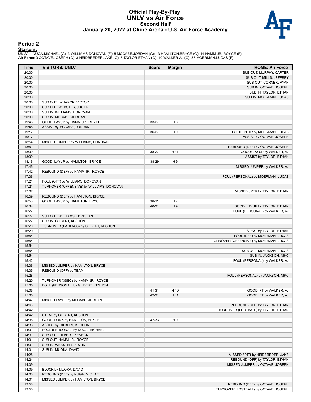#### **Official Play-By-Play UNLV vs Air Force Second Half January 20, 2022 at Clune Arena - U.S. Air Force Academy**



#### **Period 2**

<mark>Startersː</mark><br>UNLV: 1 NUGA,MICHAEL (G); 3 WILLIAMS,DONOVAN (F); 5 MCCABE,JORDAN (G); 13 HAMILTON,BRYCE (G); 14 HAMM JR.,ROYCE (F);<br>**Air Force**: 0 OCTAVE,JOSEPH (G); 3 HEIDBREDER,JAKE (G); 5 TAYLOR,ETHAN (G); 10 WALKER,AJ (G)

| <b>Time</b>    | <b>VISITORS: UNLV</b>                     | <b>Score</b>   | <b>Margin</b>  | <b>HOME: Air Force</b>                 |
|----------------|-------------------------------------------|----------------|----------------|----------------------------------------|
| 20:00          |                                           |                |                | SUB OUT: MURPHY, CARTER                |
| 20:00          |                                           |                |                | SUB OUT: MILLS, JEFFREY                |
| 20:00          |                                           |                |                | SUB OUT: CORNER, RYAN                  |
| 20:00          |                                           |                |                | SUB IN: OCTAVE, JOSEPH                 |
| 20:00          |                                           |                |                | SUB IN: TAYLOR, ETHAN                  |
| 20:00          |                                           |                |                | SUB IN: MOERMAN, LUCAS                 |
| 20:00          | SUB OUT: IWUAKOR, VICTOR                  |                |                |                                        |
| 20:00          | SUB OUT: WEBSTER, JUSTIN                  |                |                |                                        |
| 20:00          | SUB IN: WILLIAMS, DONOVAN                 |                |                |                                        |
| 20:00          | SUB IN: MCCABE, JORDAN                    |                |                |                                        |
| 19:48          | GOOD! LAYUP by HAMM JR., ROYCE            | 33-27          | H <sub>6</sub> |                                        |
| 19:48          | ASSIST by MCCABE, JORDAN                  |                |                |                                        |
| 19:17          |                                           | 36-27          | H <sub>9</sub> | GOOD! 3PTR by MOERMAN, LUCAS           |
| 19:17          |                                           |                |                | ASSIST by OCTAVE, JOSEPH               |
| 18:54          | MISSED JUMPER by WILLIAMS, DONOVAN        |                |                |                                        |
| 18:51          |                                           |                |                | REBOUND (DEF) by OCTAVE, JOSEPH        |
| 18:39          |                                           | 38-27          | H 11           | GOOD! LAYUP by WALKER, AJ              |
| 18:39          |                                           |                |                | ASSIST by TAYLOR, ETHAN                |
| 18:16          | GOOD! LAYUP by HAMILTON, BRYCE            | 38-29          | H <sub>9</sub> |                                        |
| 17:45          |                                           |                |                | MISSED JUMPER by WALKER, AJ            |
| 17:42          | REBOUND (DEF) by HAMM JR., ROYCE          |                |                |                                        |
| 17:36          |                                           |                |                | FOUL (PERSONAL) by MOERMAN, LUCAS      |
| 17:21<br>17:21 | FOUL (OFF) by WILLIAMS, DONOVAN           |                |                |                                        |
|                | TURNOVER (OFFENSIVE) by WILLIAMS, DONOVAN |                |                |                                        |
| 17:02          |                                           |                |                | MISSED 3PTR by TAYLOR, ETHAN           |
| 16:59          | REBOUND (DEF) by HAMILTON, BRYCE          |                |                |                                        |
| 16:53<br>16:34 | GOOD! LAYUP by HAMILTON, BRYCE            | 38-31<br>40-31 | H 7<br>H9      | GOOD! LAYUP by TAYLOR, ETHAN           |
| 16:27          |                                           |                |                | FOUL (PERSONAL) by WALKER, AJ          |
| 16:27          | SUB OUT: WILLIAMS, DONOVAN                |                |                |                                        |
| 16:27          | SUB IN: GILBERT, KESHON                   |                |                |                                        |
| 16:20          | TURNOVER (BADPASS) by GILBERT, KESHON     |                |                |                                        |
| 16:20          |                                           |                |                | STEAL by TAYLOR, ETHAN                 |
| 15:54          |                                           |                |                | FOUL (OFF) by MOERMAN, LUCAS           |
| 15:54          |                                           |                |                | TURNOVER (OFFENSIVE) by MOERMAN, LUCAS |
| 15:54          |                                           |                |                |                                        |
| 15:54          |                                           |                |                | SUB OUT: MOERMAN, LUCAS                |
| 15:54          |                                           |                |                | SUB IN: JACKSON, NIKC                  |
| 15:42          |                                           |                |                | FOUL (PERSONAL) by WALKER, AJ          |
| 15:36          | MISSED JUMPER by HAMILTON, BRYCE          |                |                |                                        |
| 15:35          | REBOUND (OFF) by TEAM                     |                |                |                                        |
| 15:28          |                                           |                |                | FOUL (PERSONAL) by JACKSON, NIKC       |
| 15:20          | TURNOVER (3SEC) by HAMM JR., ROYCE        |                |                |                                        |
| 15:05          | FOUL (PERSONAL) by GILBERT, KESHON        |                |                |                                        |
| 15:05          |                                           | 41-31          | H 10           | GOOD! FT by WALKER, AJ                 |
| 15:05          |                                           | 42-31          | H 11           | GOOD! FT by WALKER, AJ                 |
| 14:47          | MISSED LAYUP by MCCABE, JORDAN            |                |                |                                        |
| 14:43          |                                           |                |                | REBOUND (DEF) by TAYLOR, ETHAN         |
| 14:42          |                                           |                |                | TURNOVER (LOSTBALL) by TAYLOR, ETHAN   |
| 14:42          | STEAL by GILBERT, KESHON                  |                |                |                                        |
| 14:36          | GOOD! DUNK by HAMILTON, BRYCE             | 42-33          | H 9            |                                        |
| 14:36          | <b>ASSIST by GILBERT, KESHON</b>          |                |                |                                        |
| 14:31          | FOUL (PERSONAL) by NUGA, MICHAEL          |                |                |                                        |
| 14:31          | SUB OUT: GILBERT, KESHON                  |                |                |                                        |
| 14:31          | SUB OUT: HAMM JR., ROYCE                  |                |                |                                        |
| 14:31          | SUB IN: WEBSTER, JUSTIN                   |                |                |                                        |
| 14:31          | SUB IN: MUOKA, DAVID                      |                |                |                                        |
| 14:28          |                                           |                |                | MISSED 3PTR by HEIDBREDER, JAKE        |
| 14:24          |                                           |                |                | REBOUND (OFF) by TAYLOR, ETHAN         |
| 14:09          |                                           |                |                | MISSED JUMPER by OCTAVE, JOSEPH        |
| 14:09          | BLOCK by MUOKA, DAVID                     |                |                |                                        |
| 14:03          | REBOUND (DEF) by NUGA, MICHAEL            |                |                |                                        |
| 14:01          | MISSED JUMPER by HAMILTON, BRYCE          |                |                |                                        |
| 13:58          |                                           |                |                | REBOUND (DEF) by OCTAVE, JOSEPH        |
| 13:50          |                                           |                |                | TURNOVER (LOSTBALL) by OCTAVE, JOSEPH  |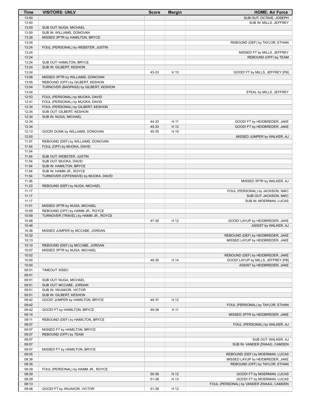| <b>Time</b>    | <b>VISITORS: UNLV</b>                                           | <b>Score</b>   | <b>Margin</b> | <b>HOME: Air Force</b>                                              |
|----------------|-----------------------------------------------------------------|----------------|---------------|---------------------------------------------------------------------|
| 13:50          |                                                                 |                |               | SUB OUT: OCTAVE, JOSEPH                                             |
| 13:50          |                                                                 |                |               | SUB IN: MILLS, JEFFREY                                              |
| 13:50          | SUB OUT: NUGA, MICHAEL                                          |                |               |                                                                     |
| 13:50<br>13:28 | SUB IN: WILLIAMS, DONOVAN<br>MISSED 3PTR by HAMILTON, BRYCE     |                |               |                                                                     |
| 13:24          |                                                                 |                |               | REBOUND (DEF) by TAYLOR, ETHAN                                      |
| 13:24          | FOUL (PERSONAL) by WEBSTER, JUSTIN                              |                |               |                                                                     |
| 13:24          |                                                                 |                |               | MISSED FT by MILLS, JEFFREY                                         |
| 13:24          |                                                                 |                |               | REBOUND (OFF) by TEAM                                               |
| 13:24          | SUB OUT: HAMILTON, BRYCE                                        |                |               |                                                                     |
| 13:24          | SUB IN: GILBERT, KESHON                                         |                |               |                                                                     |
| 13:24<br>13:08 | MISSED 3PTR by WILLIAMS, DONOVAN                                | 43-33          | H 10          | GOOD! FT by MILLS, JEFFREY [FB]                                     |
| 13:05          | REBOUND (OFF) by GILBERT, KESHON                                |                |               |                                                                     |
| 13:04          | TURNOVER (BADPASS) by GILBERT, KESHON                           |                |               |                                                                     |
| 13:04          |                                                                 |                |               | STEAL by MILLS, JEFFREY                                             |
| 12:53          | FOUL (PERSONAL) by MUOKA, DAVID                                 |                |               |                                                                     |
| 12:41          | FOUL (PERSONAL) by MUOKA, DAVID                                 |                |               |                                                                     |
| 12:34          | FOUL (PERSONAL) by GILBERT, KESHON                              |                |               |                                                                     |
| 12:34          | SUB OUT: GILBERT, KESHON                                        |                |               |                                                                     |
| 12:34<br>12:34 | SUB IN: NUGA, MICHAEL                                           |                |               |                                                                     |
| 12:34          |                                                                 | 44-33<br>45-33 | H 11<br>H 12  | GOOD! FT by HEIDBREDER, JAKE<br>GOOD! FT by HEIDBREDER, JAKE        |
| 12:13          | GOOD! DUNK by WILLIAMS, DONOVAN                                 | 45-35          | H 10          |                                                                     |
| 12:00          |                                                                 |                |               | MISSED JUMPER by WALKER, AJ                                         |
| 11:57          | REBOUND (DEF) by WILLIAMS, DONOVAN                              |                |               |                                                                     |
| 11:54          | FOUL (OFF) by MUOKA, DAVID                                      |                |               |                                                                     |
| 11:54          |                                                                 |                |               |                                                                     |
| 11:54          | SUB OUT: WEBSTER, JUSTIN                                        |                |               |                                                                     |
| 11:54          | SUB OUT: MUOKA, DAVID                                           |                |               |                                                                     |
| 11:54          | SUB IN: HAMILTON, BRYCE                                         |                |               |                                                                     |
| 11:54<br>11:54 | SUB IN: HAMM JR., ROYCE<br>TURNOVER (OFFENSIVE) by MUOKA, DAVID |                |               |                                                                     |
| 11:26          |                                                                 |                |               | MISSED 3PTR by WALKER, AJ                                           |
| 11:23          | REBOUND (DEF) by NUGA, MICHAEL                                  |                |               |                                                                     |
| 11:17          |                                                                 |                |               | FOUL (PERSONAL) by JACKSON, NIKC                                    |
| 11:17          |                                                                 |                |               | SUB OUT: JACKSON, NIKC                                              |
| 11:17          |                                                                 |                |               | SUB IN: MOERMAN, LUCAS                                              |
| 11:01          | MISSED 3PTR by NUGA, MICHAEL                                    |                |               |                                                                     |
| 10:59          | REBOUND (OFF) by HAMM JR., ROYCE                                |                |               |                                                                     |
| 10:59<br>10:48 | TURNOVER (TRAVEL) by HAMM JR., ROYCE                            | 47-35          | H 12          | GOOD! LAYUP by HEIDBREDER, JAKE                                     |
| 10:48          |                                                                 |                |               | ASSIST by WALKER, AJ                                                |
| 10:36          | MISSED JUMPER by MCCABE, JORDAN                                 |                |               |                                                                     |
| 10:32          |                                                                 |                |               | REBOUND (DEF) by HEIDBREDER, JAKE                                   |
| 10:13          |                                                                 |                |               | MISSED LAYUP by HEIDBREDER, JAKE                                    |
| 10:10          | REBOUND (DEF) by MCCABE, JORDAN                                 |                |               |                                                                     |
| 10:07          | MISSED 3PTR by NUGA, MICHAEL                                    |                |               |                                                                     |
| 10:02          |                                                                 |                |               | REBOUND (DEF) by HEIDBREDER, JAKE                                   |
| 10:00<br>10:00 |                                                                 | 49-35          | H 14          | GOOD! LAYUP by MILLS, JEFFREY [FB]<br>ASSIST by HEIDBREDER, JAKE    |
| 09:51          | TIMEOUT 30SEC                                                   |                |               |                                                                     |
| 09:51          |                                                                 |                |               |                                                                     |
| 09:51          | SUB OUT: NUGA, MICHAEL                                          |                |               |                                                                     |
| 09:51          | SUB OUT: MCCABE, JORDAN                                         |                |               |                                                                     |
| 09:51          | SUB IN: IWUAKOR, VICTOR                                         |                |               |                                                                     |
| 09:51          | SUB IN: GILBERT, KESHON                                         |                |               |                                                                     |
| 09:42          | GOOD! JUMPER by HAMILTON, BRYCE                                 | 49-37          | H 12          |                                                                     |
| 09:42<br>09:42 |                                                                 |                |               | FOUL (PERSONAL) by TAYLOR, ETHAN                                    |
| 09:14          | GOOD! FT by HAMILTON, BRYCE                                     | 49-38          | H 11          | MISSED 3PTR by HEIDBREDER, JAKE                                     |
| 09:11          | REBOUND (DEF) by HAMILTON, BRYCE                                |                |               |                                                                     |
| 09:07          |                                                                 |                |               | FOUL (PERSONAL) by WALKER, AJ                                       |
| 09:07          | MISSED FT by HAMILTON, BRYCE                                    |                |               |                                                                     |
| 09:07          | REBOUND (OFF) by TEAM                                           |                |               |                                                                     |
| 09:07          |                                                                 |                |               | SUB OUT: WALKER, AJ                                                 |
| 09:07          |                                                                 |                |               | SUB IN: VANDER ZWAAG, CAMDEN                                        |
| 09:07          | MISSED FT by HAMILTON, BRYCE                                    |                |               |                                                                     |
| 09:05<br>08:38 |                                                                 |                |               | REBOUND (DEF) by MOERMAN, LUCAS<br>MISSED LAYUP by HEIDBREDER, JAKE |
| 08:35          |                                                                 |                |               | REBOUND (OFF) by TAYLOR, ETHAN                                      |
| 08:29          | FOUL (PERSONAL) by HAMM JR., ROYCE                              |                |               |                                                                     |
| 08:29          |                                                                 | 50-38          | H 12          | GOOD! FT by MOERMAN, LUCAS                                          |
| 08:29          |                                                                 | 51-38          | H 13          | GOOD! FT by MOERMAN, LUCAS                                          |
| 08:13          |                                                                 |                |               | FOUL (PERSONAL) by VANDER ZWAAG, CAMDEN                             |
| 08:08          | GOOD! FT by IWUAKOR, VICTOR                                     | 51-39          | H 12          |                                                                     |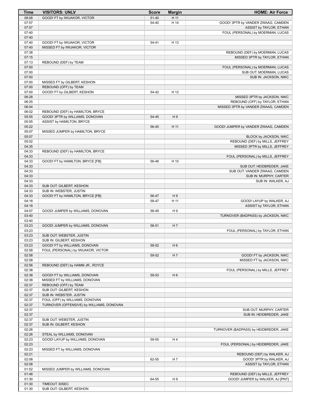| Time           | <b>VISITORS: UNLV</b>                               | <b>Score</b> | <b>Margin</b>  | <b>HOME: Air Force</b>                 |
|----------------|-----------------------------------------------------|--------------|----------------|----------------------------------------|
| 08:08          | GOOD! FT by IWUAKOR, VICTOR                         | $51 - 40$    | H 11           |                                        |
| 07:57          |                                                     | 54-40        | H 14           | GOOD! 3PTR by VANDER ZWAAG, CAMDEN     |
| 07:57          |                                                     |              |                | ASSIST by TAYLOR, ETHAN                |
| 07:40          |                                                     |              |                | FOUL (PERSONAL) by MOERMAN, LUCAS      |
| 07:40          |                                                     |              |                |                                        |
| 07:40          | GOOD! FT by IWUAKOR, VICTOR                         | 54-41        | H 13           |                                        |
| 07:40          | MISSED FT by IWUAKOR, VICTOR                        |              |                |                                        |
| 07:38          |                                                     |              |                | REBOUND (DEF) by MOERMAN, LUCAS        |
| 07:15          |                                                     |              |                | MISSED 3PTR by TAYLOR, ETHAN           |
| 07:13<br>07:00 | REBOUND (DEF) by TEAM                               |              |                | FOUL (PERSONAL) by MOERMAN, LUCAS      |
| 07:00          |                                                     |              |                | SUB OUT: MOERMAN, LUCAS                |
| 07:00          |                                                     |              |                | SUB IN: JACKSON, NIKC                  |
| 07:00          | MISSED FT by GILBERT, KESHON                        |              |                |                                        |
| 07:00          | REBOUND (OFF) by TEAM                               |              |                |                                        |
| 07:00          | GOOD! FT by GILBERT, KESHON                         | 54-42        | H 12           |                                        |
| 06:28          |                                                     |              |                | MISSED 3PTR by JACKSON, NIKC           |
| 06:25          |                                                     |              |                | REBOUND (OFF) by TAYLOR, ETHAN         |
| 06:04          |                                                     |              |                | MISSED 3PTR by VANDER ZWAAG, CAMDEN    |
| 06:02          | REBOUND (DEF) by HAMILTON, BRYCE                    |              |                |                                        |
| 05:55          | GOOD! 3PTR by WILLIAMS, DONOVAN                     | 54-45        | H <sub>9</sub> |                                        |
| 05:55          | ASSIST by HAMILTON, BRYCE                           |              |                |                                        |
| 05:22          |                                                     | 56-45        | H 11           | GOOD! JUMPER by VANDER ZWAAG, CAMDEN   |
| 05:07          | MISSED JUMPER by HAMILTON, BRYCE                    |              |                |                                        |
| 05:07          |                                                     |              |                | BLOCK by JACKSON, NIKC                 |
| 05:02<br>04:35 |                                                     |              |                | REBOUND (DEF) by MILLS, JEFFREY        |
| 04:33          | REBOUND (DEF) by HAMILTON, BRYCE                    |              |                | MISSED 3PTR by MILLS, JEFFREY          |
| 04:33          |                                                     |              |                | FOUL (PERSONAL) by MILLS, JEFFREY      |
| 04:33          | GOOD! FT by HAMILTON, BRYCE [FB]                    | 56-46        | H 10           |                                        |
| 04:33          |                                                     |              |                | SUB OUT: HEIDBREDER, JAKE              |
| 04:33          |                                                     |              |                | SUB OUT: VANDER ZWAAG, CAMDEN          |
| 04:33          |                                                     |              |                | SUB IN: MURPHY, CARTER                 |
| 04:33          |                                                     |              |                | SUB IN: WALKER, AJ                     |
| 04:33          | SUB OUT: GILBERT, KESHON                            |              |                |                                        |
| 04:33          | SUB IN: WEBSTER, JUSTIN                             |              |                |                                        |
| 04:33          | GOOD! FT by HAMILTON, BRYCE [FB]                    | 56-47        | H <sub>9</sub> |                                        |
| 04:18          |                                                     | 58-47        | H 11           | GOOD! LAYUP by WALKER, AJ              |
| 04:18          |                                                     |              |                | ASSIST by TAYLOR, ETHAN                |
| 04:07          | GOOD! JUMPER by WILLIAMS, DONOVAN                   | 58-49        | H9             |                                        |
| 03:40          |                                                     |              |                | TURNOVER (BADPASS) by JACKSON, NIKC    |
| 03:40          |                                                     |              |                |                                        |
| 03:23          | GOOD! JUMPER by WILLIAMS, DONOVAN                   | 58-51        | H <sub>7</sub> |                                        |
| 03:23<br>03:23 |                                                     |              |                | FOUL (PERSONAL) by TAYLOR, ETHAN       |
| 03:23          | SUB OUT: WEBSTER, JUSTIN<br>SUB IN: GILBERT, KESHON |              |                |                                        |
| 03:23          | GOOD! FT by WILLIAMS, DONOVAN                       | 58-52        | H <sub>6</sub> |                                        |
| 02:58          | FOUL (PERSONAL) by IWUAKOR, VICTOR                  |              |                |                                        |
| 02:58          |                                                     | 59-52        | H 7            | GOOD! FT by JACKSON, NIKC              |
| 02:58          |                                                     |              |                | MISSED FT by JACKSON, NIKC             |
| 02:56          | REBOUND (DEF) by HAMM JR., ROYCE                    |              |                |                                        |
| 02:38          |                                                     |              |                | FOUL (PERSONAL) by MILLS, JEFFREY      |
| 02:38          | GOOD! FT by WILLIAMS, DONOVAN                       | 59-53        | H <sub>6</sub> |                                        |
| 02:38          | MISSED FT by WILLIAMS, DONOVAN                      |              |                |                                        |
| 02:37          | REBOUND (OFF) by TEAM                               |              |                |                                        |
| 02:37          | SUB OUT: GILBERT, KESHON                            |              |                |                                        |
| 02:37          | SUB IN: WEBSTER, JUSTIN                             |              |                |                                        |
| 02:37          | FOUL (OFF) by WILLIAMS, DONOVAN                     |              |                |                                        |
| 02:37          | TURNOVER (OFFENSIVE) by WILLIAMS, DONOVAN           |              |                |                                        |
| 02:37          |                                                     |              |                | SUB OUT: MURPHY, CARTER                |
| 02:37          |                                                     |              |                | SUB IN: HEIDBREDER, JAKE               |
| 02:37          | SUB OUT: WEBSTER, JUSTIN                            |              |                |                                        |
| 02:37          | SUB IN: GILBERT, KESHON                             |              |                |                                        |
| 02:26<br>02:26 | STEAL by WILLIAMS, DONOVAN                          |              |                | TURNOVER (BADPASS) by HEIDBREDER, JAKE |
| 02:23          | GOOD! LAYUP by WILLIAMS, DONOVAN                    | 59-55        | H 4            |                                        |
| 02:23          |                                                     |              |                | FOUL (PERSONAL) by HEIDBREDER, JAKE    |
| 02:23          | MISSED FT by WILLIAMS, DONOVAN                      |              |                |                                        |
| 02:21          |                                                     |              |                | REBOUND (DEF) by WALKER, AJ            |
| 02:08          |                                                     | 62-55        | H 7            | GOOD! 3PTR by WALKER, AJ               |
| 02:08          |                                                     |              |                | ASSIST by TAYLOR, ETHAN                |
| 01:52          | MISSED JUMPER by WILLIAMS, DONOVAN                  |              |                |                                        |
| 01:48          |                                                     |              |                | REBOUND (DEF) by MILLS, JEFFREY        |
| 01:30          |                                                     | 64-55        | H 9            | GOOD! JUMPER by WALKER, AJ [PNT]       |
| 01:30          | TIMEOUT 30SEC                                       |              |                |                                        |
| 01:30          | SUB OUT: GILBERT, KESHON                            |              |                |                                        |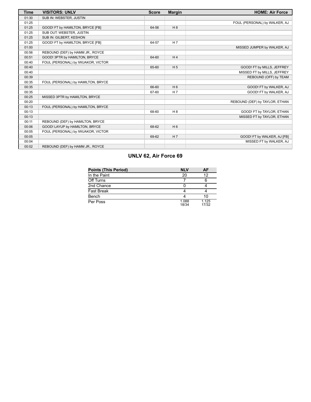| <b>Time</b> | <b>VISITORS: UNLV</b>              | <b>Score</b> | <b>Margin</b>  | <b>HOME: Air Force</b>         |
|-------------|------------------------------------|--------------|----------------|--------------------------------|
| 01:30       | SUB IN: WEBSTER, JUSTIN            |              |                |                                |
| 01:25       |                                    |              |                | FOUL (PERSONAL) by WALKER, AJ  |
| 01:25       | GOOD! FT by HAMILTON, BRYCE [FB]   | 64-56        | H8             |                                |
| 01:25       | SUB OUT: WEBSTER, JUSTIN           |              |                |                                |
| 01:25       | SUB IN: GILBERT, KESHON            |              |                |                                |
| 01:25       | GOOD! FT by HAMILTON, BRYCE [FB]   | 64-57        | H <sub>7</sub> |                                |
| 01:00       |                                    |              |                | MISSED JUMPER by WALKER, AJ    |
| 00:56       | REBOUND (DEF) by HAMM JR., ROYCE   |              |                |                                |
| 00:51       | GOOD! 3PTR by HAMILTON, BRYCE      | 64-60        | H <sub>4</sub> |                                |
| 00:40       | FOUL (PERSONAL) by IWUAKOR, VICTOR |              |                |                                |
| 00:40       |                                    | 65-60        | H <sub>5</sub> | GOOD! FT by MILLS, JEFFREY     |
| 00:40       |                                    |              |                | MISSED FT by MILLS, JEFFREY    |
| 00:39       |                                    |              |                | REBOUND (OFF) by TEAM          |
| 00:35       | FOUL (PERSONAL) by HAMILTON, BRYCE |              |                |                                |
| 00:35       |                                    | 66-60        | H <sub>6</sub> | GOOD! FT by WALKER, AJ         |
| 00:35       |                                    | 67-60        | H <sub>7</sub> | GOOD! FT by WALKER, AJ         |
| 00:25       | MISSED 3PTR by HAMILTON, BRYCE     |              |                |                                |
| 00:20       |                                    |              |                | REBOUND (DEF) by TAYLOR, ETHAN |
| 00:13       | FOUL (PERSONAL) by HAMILTON, BRYCE |              |                |                                |
| 00:13       |                                    | 68-60        | H <sub>8</sub> | GOOD! FT by TAYLOR, ETHAN      |
| 00:13       |                                    |              |                | MISSED FT by TAYLOR, ETHAN     |
| 00:11       | REBOUND (DEF) by HAMILTON, BRYCE   |              |                |                                |
| 00:06       | GOOD! LAYUP by HAMILTON, BRYCE     | 68-62        | H <sub>6</sub> |                                |
| 00:05       | FOUL (PERSONAL) by IWUAKOR, VICTOR |              |                |                                |
| 00:05       |                                    | 69-62        | H <sub>7</sub> | GOOD! FT by WALKER, AJ [FB]    |
| 00:04       |                                    |              |                | MISSED FT by WALKER, AJ        |
| 00:02       | REBOUND (DEF) by HAMM JR., ROYCE   |              |                |                                |

# **UNLV 62, Air Force 69**

| Points (This Period) | <b>NLV</b>     | AF             |
|----------------------|----------------|----------------|
| In the Paint         | 20             | 12             |
| Off Turns            |                |                |
| 2nd Chance           |                |                |
| Fast Break           |                |                |
| Bench                |                | 10             |
| Per Poss             | 1.088<br>18/34 | 1.125<br>17/32 |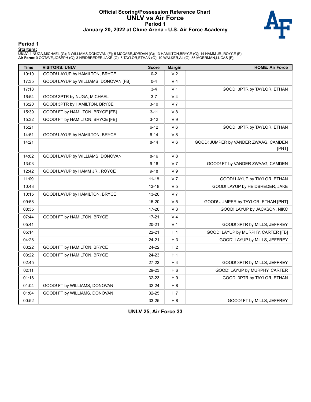#### **Official Scoring/Possession Reference Chart UNLV vs Air Force Period 1 January 20, 2022 at Clune Arena - U.S. Air Force Academy**



#### **Period 1**

#### **Starters:**

**UNLV**: 1 NUGA,MICHAEL (G); 3 WILLIAMS,DONOVAN (F); 5 MCCABE,JORDAN (G); 13 HAMILTON,BRYCE (G); 14 HAMM JR.,ROYCE (F);<br>**Air Force**: 0 OCTAVE,JOSEPH (G); 3 HEIDBREDER,JAKE (G); 5 TAYLOR,ETHAN (G); 10 WALKER,AJ (G); 35 MOERM

| <b>Time</b> | <b>VISITORS: UNLV</b>                 | <b>Score</b> | <b>Margin</b>  | <b>HOME: Air Force</b>                        |
|-------------|---------------------------------------|--------------|----------------|-----------------------------------------------|
| 19:10       | GOOD! LAYUP by HAMILTON, BRYCE        | $0 - 2$      | V <sub>2</sub> |                                               |
| 17:35       | GOOD! LAYUP by WILLIAMS, DONOVAN [FB] | $0 - 4$      | V <sub>4</sub> |                                               |
| 17:18       |                                       | $3 - 4$      | V <sub>1</sub> | GOOD! 3PTR by TAYLOR, ETHAN                   |
| 16:54       | GOOD! 3PTR by NUGA, MICHAEL           | $3 - 7$      | V <sub>4</sub> |                                               |
| 16:20       | GOOD! 3PTR by HAMILTON, BRYCE         | $3 - 10$     | V <sub>7</sub> |                                               |
| 15:39       | GOOD! FT by HAMILTON, BRYCE [FB]      | $3 - 11$     | V8             |                                               |
| 15:32       | GOOD! FT by HAMILTON, BRYCE [FB]      | $3 - 12$     | V <sub>9</sub> |                                               |
| 15:21       |                                       | $6 - 12$     | $V_6$          | GOOD! 3PTR by TAYLOR, ETHAN                   |
| 14:51       | GOOD! LAYUP by HAMILTON, BRYCE        | $6 - 14$     | V8             |                                               |
| 14:21       |                                       | $8 - 14$     | $V_6$          | GOOD! JUMPER by VANDER ZWAAG, CAMDEN<br>[PNT] |
| 14:02       | GOOD! LAYUP by WILLIAMS, DONOVAN      | $8 - 16$     | V8             |                                               |
| 13:03       |                                       | $9 - 16$     | V <sub>7</sub> | GOOD! FT by VANDER ZWAAG, CAMDEN              |
| 12:42       | GOOD! LAYUP by HAMM JR., ROYCE        | $9 - 18$     | V <sub>9</sub> |                                               |
| 11:09       |                                       | $11 - 18$    | V <sub>7</sub> | GOOD! LAYUP by TAYLOR, ETHAN                  |
| 10:43       |                                       | $13 - 18$    | V <sub>5</sub> | GOOD! LAYUP by HEIDBREDER, JAKE               |
| 10:15       | GOOD! LAYUP by HAMILTON, BRYCE        | 13-20        | V <sub>7</sub> |                                               |
| 09:58       |                                       | 15-20        | V <sub>5</sub> | GOOD! JUMPER by TAYLOR, ETHAN [PNT]           |
| 08:35       |                                       | 17-20        | $V_3$          | GOOD! LAYUP by JACKSON, NIKC                  |
| 07:44       | GOOD! FT by HAMILTON, BRYCE           | $17 - 21$    | V <sub>4</sub> |                                               |
| 05:41       |                                       | $20 - 21$    | V <sub>1</sub> | GOOD! 3PTR by MILLS, JEFFREY                  |
| 05:14       |                                       | 22-21        | H <sub>1</sub> | GOOD! LAYUP by MURPHY, CARTER [FB]            |
| 04:28       |                                       | 24-21        | H <sub>3</sub> | GOOD! LAYUP by MILLS, JEFFREY                 |
| 03:22       | GOOD! FT by HAMILTON, BRYCE           | 24-22        | H <sub>2</sub> |                                               |
| 03:22       | GOOD! FT by HAMILTON, BRYCE           | 24-23        | H 1            |                                               |
| 02:45       |                                       | 27-23        | H <sub>4</sub> | GOOD! 3PTR by MILLS, JEFFREY                  |
| 02:11       |                                       | 29-23        | H <sub>6</sub> | GOOD! LAYUP by MURPHY, CARTER                 |
| 01:18       |                                       | 32-23        | H 9            | GOOD! 3PTR by TAYLOR, ETHAN                   |
| 01:04       | GOOD! FT by WILLIAMS, DONOVAN         | 32-24        | H <sub>8</sub> |                                               |
| 01:04       | GOOD! FT by WILLIAMS, DONOVAN         | $32 - 25$    | H 7            |                                               |
| 00:52       |                                       | 33-25        | H <sub>8</sub> | GOOD! FT by MILLS, JEFFREY                    |

**UNLV 25, Air Force 33**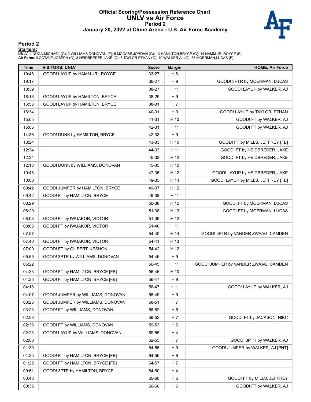#### **Official Scoring/Possession Reference Chart UNLV vs Air Force Period 2 January 20, 2022 at Clune Arena - U.S. Air Force Academy**



## **Period 2**

#### **Starters:**

**UNLV**: 1 NUGA,MICHAEL (G); 3 WILLIAMS,DONOVAN (F); 5 MCCABE,JORDAN (G); 13 HAMILTON,BRYCE (G); 14 HAMM JR.,ROYCE (F);<br>**Air Force**: 0 OCTAVE,JOSEPH (G); 3 HEIDBREDER,JAKE (G); 5 TAYLOR,ETHAN (G); 10 WALKER,AJ (G); 35 MOERM

| <b>Time</b> | <b>VISITORS: UNLV</b>             | <b>Score</b> | <b>Margin</b>  | <b>HOME: Air Force</b>               |
|-------------|-----------------------------------|--------------|----------------|--------------------------------------|
| 19:48       | GOOD! LAYUP by HAMM JR., ROYCE    | 33-27        | H <sub>6</sub> |                                      |
| 19:17       |                                   | 36-27        | H 9            | GOOD! 3PTR by MOERMAN, LUCAS         |
| 18:39       |                                   | 38-27        | H 11           | GOOD! LAYUP by WALKER, AJ            |
| 18:16       | GOOD! LAYUP by HAMILTON, BRYCE    | 38-29        | H 9            |                                      |
| 16:53       | GOOD! LAYUP by HAMILTON, BRYCE    | 38-31        | H 7            |                                      |
| 16:34       |                                   | 40-31        | H9             | GOOD! LAYUP by TAYLOR, ETHAN         |
| 15:05       |                                   | 41-31        | H 10           | GOOD! FT by WALKER, AJ               |
| 15:05       |                                   | 42-31        | H 11           | GOOD! FT by WALKER, AJ               |
| 14:36       | GOOD! DUNK by HAMILTON, BRYCE     | 42-33        | H9             |                                      |
| 13:24       |                                   | 43-33        | H 10           | GOOD! FT by MILLS, JEFFREY [FB]      |
| 12:34       |                                   | 44-33        | H 11           | GOOD! FT by HEIDBREDER, JAKE         |
| 12:34       |                                   | 45-33        | H 12           | GOOD! FT by HEIDBREDER, JAKE         |
| 12:13       | GOOD! DUNK by WILLIAMS, DONOVAN   | 45-35        | H 10           |                                      |
| 10:48       |                                   | 47-35        | H 12           | GOOD! LAYUP by HEIDBREDER, JAKE      |
| 10:00       |                                   | 49-35        | H 14           | GOOD! LAYUP by MILLS, JEFFREY [FB]   |
| 09:42       | GOOD! JUMPER by HAMILTON, BRYCE   | 49-37        | H 12           |                                      |
| 09:42       | GOOD! FT by HAMILTON, BRYCE       | 49-38        | H 11           |                                      |
| 08:29       |                                   | 50-38        | H 12           | GOOD! FT by MOERMAN, LUCAS           |
| 08:29       |                                   | 51-38        | H 13           | GOOD! FT by MOERMAN, LUCAS           |
| 08:08       | GOOD! FT by IWUAKOR, VICTOR       | 51-39        | H 12           |                                      |
| 08:08       | GOOD! FT by IWUAKOR, VICTOR       | 51-40        | H 11           |                                      |
| 07:57       |                                   | 54-40        | H 14           | GOOD! 3PTR by VANDER ZWAAG, CAMDEN   |
| 07:40       | GOOD! FT by IWUAKOR, VICTOR       | 54-41        | H 13           |                                      |
| 07:00       | GOOD! FT by GILBERT, KESHON       | 54-42        | H 12           |                                      |
| 05:55       | GOOD! 3PTR by WILLIAMS, DONOVAN   | 54-45        | H9             |                                      |
| 05:22       |                                   | 56-45        | H 11           | GOOD! JUMPER by VANDER ZWAAG, CAMDEN |
| 04:33       | GOOD! FT by HAMILTON, BRYCE [FB]  | 56-46        | H 10           |                                      |
| 04:33       | GOOD! FT by HAMILTON, BRYCE [FB]  | 56-47        | H 9            |                                      |
| 04:18       |                                   | 58-47        | H 11           | GOOD! LAYUP by WALKER, AJ            |
| 04:07       | GOOD! JUMPER by WILLIAMS, DONOVAN | 58-49        | H 9            |                                      |
| 03:23       | GOOD! JUMPER by WILLIAMS, DONOVAN | 58-51        | H 7            |                                      |
| 03:23       | GOOD! FT by WILLIAMS, DONOVAN     | 58-52        | H <sub>6</sub> |                                      |
| 02:58       |                                   | 59-52        | H 7            | GOOD! FT by JACKSON, NIKC            |
| 02:38       | GOOD! FT by WILLIAMS, DONOVAN     | 59-53        | H <sub>6</sub> |                                      |
| 02:23       | GOOD! LAYUP by WILLIAMS, DONOVAN  | 59-55        | H 4            |                                      |
| 02:08       |                                   | 62-55        | H 7            | GOOD! 3PTR by WALKER, AJ             |
| 01:30       |                                   | 64-55        | H 9            | GOOD! JUMPER by WALKER, AJ [PNT]     |
| 01:25       | GOOD! FT by HAMILTON, BRYCE [FB]  | 64-56        | H <sub>8</sub> |                                      |
| 01:25       | GOOD! FT by HAMILTON, BRYCE [FB]  | 64-57        | H 7            |                                      |
| 00:51       | GOOD! 3PTR by HAMILTON, BRYCE     | 64-60        | H 4            |                                      |
| 00:40       |                                   | 65-60        | H 5            | GOOD! FT by MILLS, JEFFREY           |
| 00:35       |                                   | 66-60        | H <sub>6</sub> | GOOD! FT by WALKER, AJ               |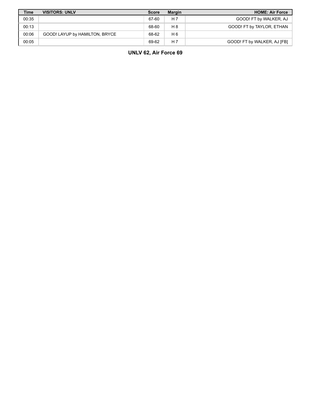| <b>Time</b> | <b>VISITORS: UNLV</b>          | <b>Score</b> | <b>Margin</b>  | <b>HOME: Air Force</b>      |
|-------------|--------------------------------|--------------|----------------|-----------------------------|
| 00:35       |                                | 67-60        | H <sub>7</sub> | GOOD! FT by WALKER, AJ      |
| 00:13       |                                | 68-60        | H 8            | GOOD! FT by TAYLOR, ETHAN   |
| 00:06       | GOOD! LAYUP by HAMILTON, BRYCE | 68-62        | H 6            |                             |
| 00:05       |                                | 69-62        | H <sub>7</sub> | GOOD! FT by WALKER, AJ [FB] |

# **UNLV 62, Air Force 69**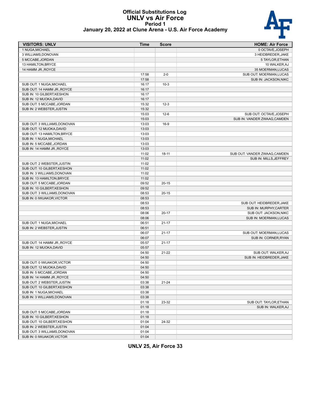

#### **Official Substitutions Log UNLV vs Air Force Period 1 January 20, 2022 at Clune Arena - U.S. Air Force Academy**

| <b>VISITORS: UNLV</b>                                    | Time  | <b>Score</b> | <b>HOME: Air Force</b>        |
|----------------------------------------------------------|-------|--------------|-------------------------------|
| 1 NUGA, MICHAEL                                          |       |              | 0 OCTAVE, JOSEPH              |
| 3 WILLIAMS, DONOVAN                                      |       |              | 3 HEIDBREDER, JAKE            |
| 5 MCCABE, JORDAN                                         |       |              | 5 TAYLOR, ETHAN               |
| 13 HAMILTON, BRYCE                                       |       |              | 10 WALKER, AJ                 |
| 14 HAMM JR., ROYCE                                       |       |              | 35 MOERMAN, LUCAS             |
|                                                          | 17:58 | $2 - 0$      | SUB OUT: MOERMAN, LUCAS       |
|                                                          | 17:58 |              | SUB IN: JACKSON, NIKC         |
| SUB OUT: 1 NUGA, MICHAEL                                 | 16:17 | $10-3$       |                               |
| SUB OUT: 14 HAMM JR., ROYCE                              | 16:17 |              |                               |
| SUB IN: 10 GILBERT, KESHON                               | 16:17 |              |                               |
| SUB IN: 12 MUOKA, DAVID                                  | 16:17 |              |                               |
| SUB OUT: 5 MCCABE, JORDAN                                | 15:32 | $12 - 3$     |                               |
| SUB IN: 2 WEBSTER, JUSTIN                                | 15:32 |              |                               |
|                                                          | 15:03 | $12-6$       | SUB OUT: OCTAVE, JOSEPH       |
|                                                          | 15:03 |              | SUB IN: VANDER ZWAAG, CAMDEN  |
| SUB OUT: 3 WILLIAMS, DONOVAN                             | 13:03 | $16-9$       |                               |
| SUB OUT: 12 MUOKA, DAVID                                 | 13:03 |              |                               |
| SUB OUT: 13 HAMILTON, BRYCE                              | 13:03 |              |                               |
| SUB IN: 1 NUGA, MICHAEL                                  | 13:03 |              |                               |
| SUB IN: 5 MCCABE, JORDAN                                 | 13:03 |              |                               |
| SUB IN: 14 HAMM JR., ROYCE                               | 13:03 |              |                               |
|                                                          | 11:02 | $18 - 11$    | SUB OUT: VANDER ZWAAG, CAMDEN |
|                                                          | 11:02 |              | SUB IN: MILLS, JEFFREY        |
| SUB OUT: 2 WEBSTER, JUSTIN                               | 11:02 |              |                               |
| SUB OUT: 10 GILBERT, KESHON                              | 11:02 |              |                               |
| SUB IN: 3 WILLIAMS, DONOVAN                              | 11:02 |              |                               |
| SUB IN: 13 HAMILTON, BRYCE                               | 11:02 |              |                               |
| SUB OUT: 5 MCCABE, JORDAN                                | 09:52 | $20 - 15$    |                               |
| SUB IN: 10 GILBERT, KESHON                               | 09:52 |              |                               |
| SUB OUT: 3 WILLIAMS, DONOVAN                             | 08:53 | $20 - 15$    |                               |
| SUB IN: 0 IWUAKOR, VICTOR                                | 08:53 |              |                               |
|                                                          | 08:53 |              | SUB OUT: HEIDBREDER, JAKE     |
|                                                          | 08:53 |              | SUB IN: MURPHY, CARTER        |
|                                                          | 08:06 | $20 - 17$    | SUB OUT: JACKSON, NIKC        |
|                                                          | 08:06 |              | SUB IN: MOERMAN, LUCAS        |
| SUB OUT: 1 NUGA, MICHAEL                                 | 06:51 | $21 - 17$    |                               |
| SUB IN: 2 WEBSTER, JUSTIN                                | 06:51 |              |                               |
|                                                          | 06:07 | $21 - 17$    | SUB OUT: MOERMAN, LUCAS       |
|                                                          | 06:07 |              | SUB IN: CORNER, RYAN          |
| SUB OUT: 14 HAMM JR., ROYCE                              | 05:57 | $21 - 17$    |                               |
| SUB IN: 12 MUOKA, DAVID                                  | 05:57 |              |                               |
|                                                          | 04:50 | $21 - 22$    | SUB OUT: WALKER, AJ           |
|                                                          | 04:50 |              | SUB IN: HEIDBREDER, JAKE      |
| SUB OUT: 0 IWUAKOR, VICTOR                               | 04:50 |              |                               |
| SUB OUT: 12 MUOKA, DAVID                                 | 04:50 |              |                               |
| SUB IN: 5 MCCABE, JORDAN                                 | 04:50 |              |                               |
| SUB IN: 14 HAMM JR., ROYCE                               | 04:50 |              |                               |
| SUB OUT: 2 WEBSTER, JUSTIN                               | 03:38 | $21 - 24$    |                               |
| SUB OUT: 10 GILBERT, KESHON                              | 03:38 |              |                               |
| SUB IN: 1 NUGA, MICHAEL                                  | 03:38 |              |                               |
| SUB IN: 3 WILLIAMS, DONOVAN                              | 03:38 |              |                               |
|                                                          | 01:18 | 23-32        | SUB OUT: TAYLOR, ETHAN        |
|                                                          | 01:18 |              | SUB IN: WALKER, AJ            |
| SUB OUT: 5 MCCABE, JORDAN                                | 01:18 |              |                               |
| SUB IN: 10 GILBERT, KESHON                               | 01:18 |              |                               |
| SUB OUT: 10 GILBERT, KESHON<br>SUB IN: 2 WEBSTER, JUSTIN | 01:04 | 24-32        |                               |
| SUB OUT: 3 WILLIAMS, DONOVAN                             | 01:04 |              |                               |
|                                                          | 01:04 |              |                               |
| SUB IN: 0 IWUAKOR, VICTOR                                | 01:04 |              |                               |

**UNLV 25, Air Force 33**